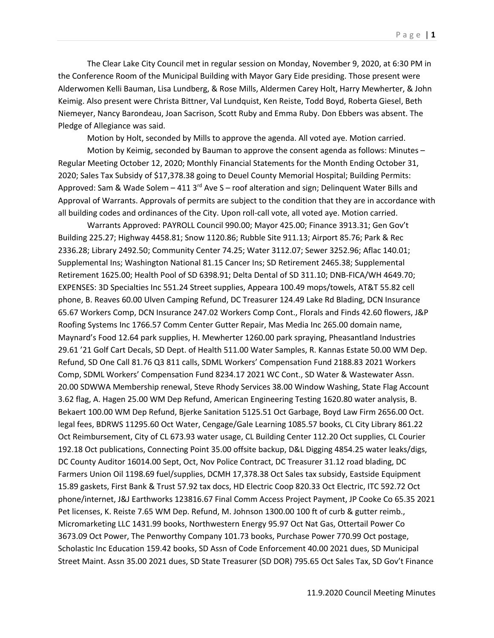The Clear Lake City Council met in regular session on Monday, November 9, 2020, at 6:30 PM in the Conference Room of the Municipal Building with Mayor Gary Eide presiding. Those present were Alderwomen Kelli Bauman, Lisa Lundberg, & Rose Mills, Aldermen Carey Holt, Harry Mewherter, & John Keimig. Also present were Christa Bittner, Val Lundquist, Ken Reiste, Todd Boyd, Roberta Giesel, Beth Niemeyer, Nancy Barondeau, Joan Sacrison, Scott Ruby and Emma Ruby. Don Ebbers was absent. The Pledge of Allegiance was said.

Motion by Holt, seconded by Mills to approve the agenda. All voted aye. Motion carried.

Motion by Keimig, seconded by Bauman to approve the consent agenda as follows: Minutes – Regular Meeting October 12, 2020; Monthly Financial Statements for the Month Ending October 31, 2020; Sales Tax Subsidy of \$17,378.38 going to Deuel County Memorial Hospital; Building Permits: Approved: Sam & Wade Solem – 411 3<sup>rd</sup> Ave S – roof alteration and sign; Delinquent Water Bills and Approval of Warrants. Approvals of permits are subject to the condition that they are in accordance with all building codes and ordinances of the City. Upon roll-call vote, all voted aye. Motion carried.

Warrants Approved: PAYROLL Council 990.00; Mayor 425.00; Finance 3913.31; Gen Gov't Building 225.27; Highway 4458.81; Snow 1120.86; Rubble Site 911.13; Airport 85.76; Park & Rec 2336.28; Library 2492.50; Community Center 74.25; Water 3112.07; Sewer 3252.96; Aflac 140.01; Supplemental Ins; Washington National 81.15 Cancer Ins; SD Retirement 2465.38; Supplemental Retirement 1625.00; Health Pool of SD 6398.91; Delta Dental of SD 311.10; DNB-FICA/WH 4649.70; EXPENSES: 3D Specialties Inc 551.24 Street supplies, Appeara 100.49 mops/towels, AT&T 55.82 cell phone, B. Reaves 60.00 Ulven Camping Refund, DC Treasurer 124.49 Lake Rd Blading, DCN Insurance 65.67 Workers Comp, DCN Insurance 247.02 Workers Comp Cont., Florals and Finds 42.60 flowers, J&P Roofing Systems Inc 1766.57 Comm Center Gutter Repair, Mas Media Inc 265.00 domain name, Maynard's Food 12.64 park supplies, H. Mewherter 1260.00 park spraying, Pheasantland Industries 29.61 '21 Golf Cart Decals, SD Dept. of Health 511.00 Water Samples, R. Kannas Estate 50.00 WM Dep. Refund, SD One Call 81.76 Q3 811 calls, SDML Workers' Compensation Fund 2188.83 2021 Workers Comp, SDML Workers' Compensation Fund 8234.17 2021 WC Cont., SD Water & Wastewater Assn. 20.00 SDWWA Membership renewal, Steve Rhody Services 38.00 Window Washing, State Flag Account 3.62 flag, A. Hagen 25.00 WM Dep Refund, American Engineering Testing 1620.80 water analysis, B. Bekaert 100.00 WM Dep Refund, Bjerke Sanitation 5125.51 Oct Garbage, Boyd Law Firm 2656.00 Oct. legal fees, BDRWS 11295.60 Oct Water, Cengage/Gale Learning 1085.57 books, CL City Library 861.22 Oct Reimbursement, City of CL 673.93 water usage, CL Building Center 112.20 Oct supplies, CL Courier 192.18 Oct publications, Connecting Point 35.00 offsite backup, D&L Digging 4854.25 water leaks/digs, DC County Auditor 16014.00 Sept, Oct, Nov Police Contract, DC Treasurer 31.12 road blading, DC Farmers Union Oil 1198.69 fuel/supplies, DCMH 17,378.38 Oct Sales tax subsidy, Eastside Equipment 15.89 gaskets, First Bank & Trust 57.92 tax docs, HD Electric Coop 820.33 Oct Electric, ITC 592.72 Oct phone/internet, J&J Earthworks 123816.67 Final Comm Access Project Payment, JP Cooke Co 65.35 2021 Pet licenses, K. Reiste 7.65 WM Dep. Refund, M. Johnson 1300.00 100 ft of curb & gutter reimb., Micromarketing LLC 1431.99 books, Northwestern Energy 95.97 Oct Nat Gas, Ottertail Power Co 3673.09 Oct Power, The Penworthy Company 101.73 books, Purchase Power 770.99 Oct postage, Scholastic Inc Education 159.42 books, SD Assn of Code Enforcement 40.00 2021 dues, SD Municipal Street Maint. Assn 35.00 2021 dues, SD State Treasurer (SD DOR) 795.65 Oct Sales Tax, SD Gov't Finance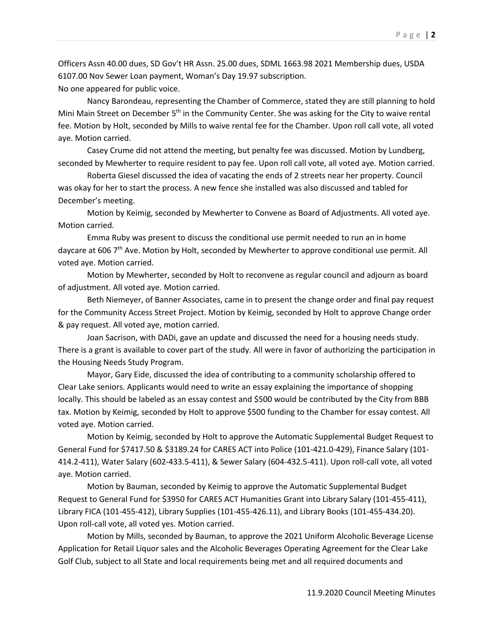Officers Assn 40.00 dues, SD Gov't HR Assn. 25.00 dues, SDML 1663.98 2021 Membership dues, USDA 6107.00 Nov Sewer Loan payment, Woman's Day 19.97 subscription. No one appeared for public voice.

Nancy Barondeau, representing the Chamber of Commerce, stated they are still planning to hold Mini Main Street on December 5<sup>th</sup> in the Community Center. She was asking for the City to waive rental fee. Motion by Holt, seconded by Mills to waive rental fee for the Chamber. Upon roll call vote, all voted aye. Motion carried.

Casey Crume did not attend the meeting, but penalty fee was discussed. Motion by Lundberg, seconded by Mewherter to require resident to pay fee. Upon roll call vote, all voted aye. Motion carried.

Roberta Giesel discussed the idea of vacating the ends of 2 streets near her property. Council was okay for her to start the process. A new fence she installed was also discussed and tabled for December's meeting.

Motion by Keimig, seconded by Mewherter to Convene as Board of Adjustments. All voted aye. Motion carried.

Emma Ruby was present to discuss the conditional use permit needed to run an in home daycare at 606 7<sup>th</sup> Ave. Motion by Holt, seconded by Mewherter to approve conditional use permit. All voted aye. Motion carried.

Motion by Mewherter, seconded by Holt to reconvene as regular council and adjourn as board of adjustment. All voted aye. Motion carried.

Beth Niemeyer, of Banner Associates, came in to present the change order and final pay request for the Community Access Street Project. Motion by Keimig, seconded by Holt to approve Change order & pay request. All voted aye, motion carried.

Joan Sacrison, with DADi, gave an update and discussed the need for a housing needs study. There is a grant is available to cover part of the study. All were in favor of authorizing the participation in the Housing Needs Study Program.

Mayor, Gary Eide, discussed the idea of contributing to a community scholarship offered to Clear Lake seniors. Applicants would need to write an essay explaining the importance of shopping locally. This should be labeled as an essay contest and \$500 would be contributed by the City from BBB tax. Motion by Keimig, seconded by Holt to approve \$500 funding to the Chamber for essay contest. All voted aye. Motion carried.

Motion by Keimig, seconded by Holt to approve the Automatic Supplemental Budget Request to General Fund for \$7417.50 & \$3189.24 for CARES ACT into Police (101-421.0-429), Finance Salary (101- 414.2-411), Water Salary (602-433.5-411), & Sewer Salary (604-432.5-411). Upon roll-call vote, all voted aye. Motion carried.

Motion by Bauman, seconded by Keimig to approve the Automatic Supplemental Budget Request to General Fund for \$3950 for CARES ACT Humanities Grant into Library Salary (101-455-411), Library FICA (101-455-412), Library Supplies (101-455-426.11), and Library Books (101-455-434.20). Upon roll-call vote, all voted yes. Motion carried.

Motion by Mills, seconded by Bauman, to approve the 2021 Uniform Alcoholic Beverage License Application for Retail Liquor sales and the Alcoholic Beverages Operating Agreement for the Clear Lake Golf Club, subject to all State and local requirements being met and all required documents and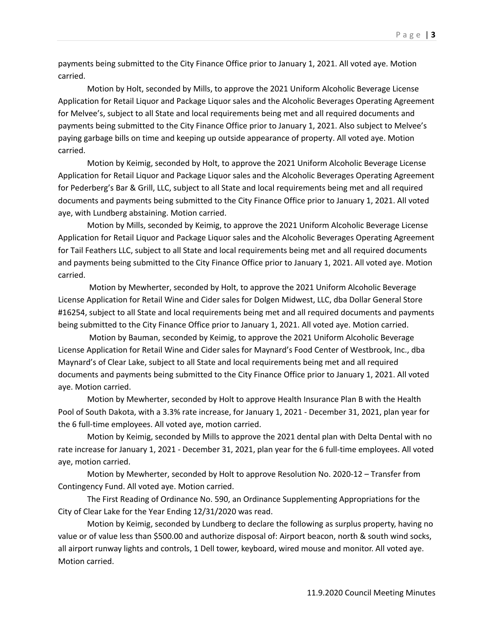payments being submitted to the City Finance Office prior to January 1, 2021. All voted aye. Motion carried.

Motion by Holt, seconded by Mills, to approve the 2021 Uniform Alcoholic Beverage License Application for Retail Liquor and Package Liquor sales and the Alcoholic Beverages Operating Agreement for Melvee's, subject to all State and local requirements being met and all required documents and payments being submitted to the City Finance Office prior to January 1, 2021. Also subject to Melvee's paying garbage bills on time and keeping up outside appearance of property. All voted aye. Motion carried.

Motion by Keimig, seconded by Holt, to approve the 2021 Uniform Alcoholic Beverage License Application for Retail Liquor and Package Liquor sales and the Alcoholic Beverages Operating Agreement for Pederberg's Bar & Grill, LLC, subject to all State and local requirements being met and all required documents and payments being submitted to the City Finance Office prior to January 1, 2021. All voted aye, with Lundberg abstaining. Motion carried.

Motion by Mills, seconded by Keimig, to approve the 2021 Uniform Alcoholic Beverage License Application for Retail Liquor and Package Liquor sales and the Alcoholic Beverages Operating Agreement for Tail Feathers LLC, subject to all State and local requirements being met and all required documents and payments being submitted to the City Finance Office prior to January 1, 2021. All voted aye. Motion carried.

Motion by Mewherter, seconded by Holt, to approve the 2021 Uniform Alcoholic Beverage License Application for Retail Wine and Cider sales for Dolgen Midwest, LLC, dba Dollar General Store #16254, subject to all State and local requirements being met and all required documents and payments being submitted to the City Finance Office prior to January 1, 2021. All voted aye. Motion carried.

Motion by Bauman, seconded by Keimig, to approve the 2021 Uniform Alcoholic Beverage License Application for Retail Wine and Cider sales for Maynard's Food Center of Westbrook, Inc., dba Maynard's of Clear Lake, subject to all State and local requirements being met and all required documents and payments being submitted to the City Finance Office prior to January 1, 2021. All voted aye. Motion carried.

Motion by Mewherter, seconded by Holt to approve Health Insurance Plan B with the Health Pool of South Dakota, with a 3.3% rate increase, for January 1, 2021 - December 31, 2021, plan year for the 6 full-time employees. All voted aye, motion carried.

Motion by Keimig, seconded by Mills to approve the 2021 dental plan with Delta Dental with no rate increase for January 1, 2021 - December 31, 2021, plan year for the 6 full-time employees. All voted aye, motion carried.

Motion by Mewherter, seconded by Holt to approve Resolution No. 2020-12 – Transfer from Contingency Fund. All voted aye. Motion carried.

The First Reading of Ordinance No. 590, an Ordinance Supplementing Appropriations for the City of Clear Lake for the Year Ending 12/31/2020 was read.

Motion by Keimig, seconded by Lundberg to declare the following as surplus property, having no value or of value less than \$500.00 and authorize disposal of: Airport beacon, north & south wind socks, all airport runway lights and controls, 1 Dell tower, keyboard, wired mouse and monitor. All voted aye. Motion carried.